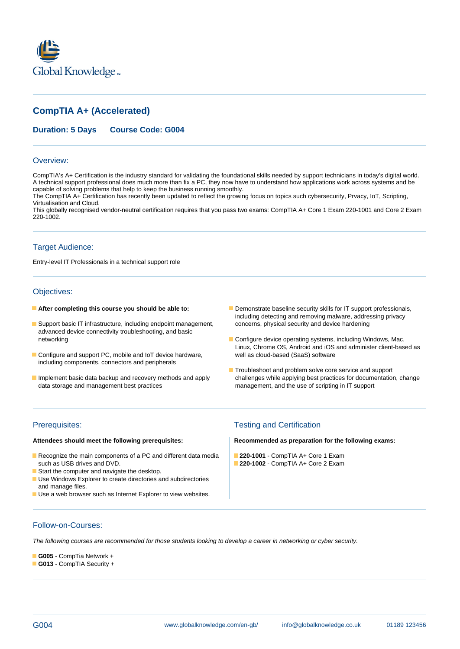

# **CompTIA A+ (Accelerated)**



#### Overview:

CompTIA's A+ Certification is the industry standard for validating the foundational skills needed by support technicians in today's digital world. A technical support professional does much more than fix a PC, they now have to understand how applications work across systems and be capable of solving problems that help to keep the business running smoothly.

The CompTIA A+ Certification has recently been updated to reflect the growing focus on topics such cybersecurity, Prvacy, IoT, Scripting, Virtualisation and Cloud.

This globally recognised vendor-neutral certification requires that you pass two exams: CompTIA A+ Core 1 Exam 220-1001 and Core 2 Exam 220-1002.

## Target Audience:

Entry-level IT Professionals in a technical support role

## Objectives:

- 
- Support basic IT infrastructure, including endpoint management, concerns, physical security and device hardening advanced device connectivity troubleshooting, and basic
- Configure and support PC, mobile and IoT device hardware, well as cloud-based (SaaS) software including components, connectors and peripherals
- 
- **After completing this course you should be able to:** Demonstrate baseline security skills for IT support professionals, including detecting and removing malware, addressing privacy
	- networking **Configure device operating systems**, including Windows, Mac, Linux, Chrome OS, Android and iOS and administer client-based as
- Troubleshoot and problem solve core service and support Implement basic data backup and recovery methods and apply challenges while applying best practices for documentation, change<br>data storage and management best practices management, and the use of scripting in IT support management, and the use of scripting in IT support

- Recognize the main components of a PC and different data media **220-1001** CompTIA A+ Core 1 Exam such as USB drives and DVD. **220-1002** - CompTIA A+ Core 2 Exam
- Start the computer and navigate the desktop.
- **Use Windows Explorer to create directories and subdirectories** and manage files.
- Use a web browser such as Internet Explorer to view websites.

## Prerequisites: Testing and Certification

**Attendees should meet the following prerequisites: Recommended as preparation for the following exams:**

## Follow-on-Courses:

The following courses are recommended for those students looking to develop a career in networking or cyber security.

# **G005** - CompTia Network +

**G013** - CompTIA Security +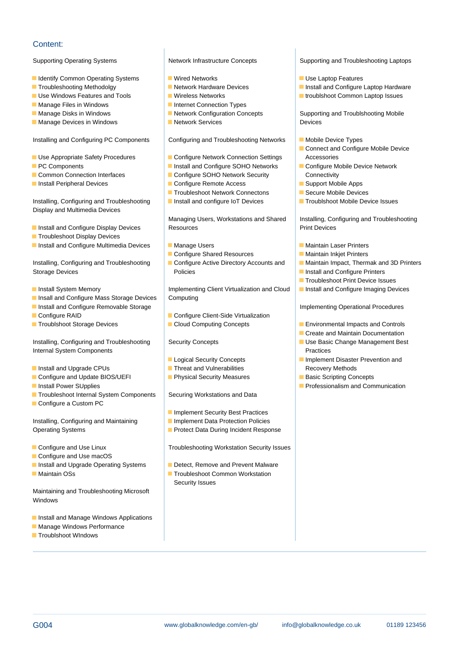# Content:

- **IDENTIFY Common Operating Systems Wired Networks Wired Networks Wire Laptop Features**
- 
- 
- 
- 
- Manage Devices in Windows Network Services Network Services Devices

Installing and Configuring PC Components Configuring and Troubleshooting Networks Mobile Device Types

- Use Appropriate Safety Procedures 
Configure Network Connection Settings Accessories
- 
- Common Connection Interfaces **Configure SOHO Network Security** Connectivity
- **Install Peripheral Devices** Configure Remote Access Configure Remote Access Configure Remote Access Support Mobile Apps

Installing, Configuring and Troubleshooting Install and configure IoT Devices Troublshoot Mobile Device Issues Display and Multimedia Devices

- 
- $\blacksquare$  Troubleshoot Display Devices
- Install and Configure Multimedia Devices Manage Users Manage Users Manage Manage Manage Manage Manage Manage Manage Manage Manage Manage Manage Manage Manage Manage Manage Manage Manage Manage Manage Manage Manage Manag

Storage Devices **Policies** Policies **Policies** Policies **Install and Configure Printers** 

- 
- **Insall and Configure Mass Storage Devices | Computing**
- **Install and Configure Removable Storage line Implementing Operational Procedures**
- 
- 

Installing, Configuring and Troubleshooting Security Concepts Security Concepts Security Concepts Use Basic Change Management Best Internal System Components and Practices in Practices and Practices in Practices

- **Install and Upgrade CPUs Threat and Vulnerabilities** Recovery Methods
- Configure and Update BIOS/UEFI Basic Scripting Concepts Basic Scripting Concepts
- 
- Troubleshoot Internal System Components Securing Workstations and Data
- $\blacksquare$  Configure a Custom PC

Installing, Configuring and Maintaining **Implement Data Protection Policies** Operating Systems **Protect Data During Incident Response** 

- Configure and Use Linux Troubleshooting Workstation Security Issues
- Configure and Use macOS
- Install and Upgrade Operating Systems **Detect, Remove and Prevent Malware**
- 

Maintaining and Troubleshooting Microsoft **Windows** 

- **Install and Manage Windows Applications**
- **Manage Windows Performance**
- **Troublshoot WIndows**

line line line

- 
- 
- Manage Files in Windows Internet Connection Types
- Manage Disks in Windows **Network Configuration Concepts** Supporting and Troublshooting Mobile
	-

- 
- 
- 
- 
- Troubleshoot Network Connectons Secure Mobile Devices
- 

**Install and Configure Display Devices** Resources Resources Print Devices

- 
- Configure Shared Resources **Maintain Inkjet Printers**
- 

**Install System Memory Implementing Client Virtualization and Cloud Install and Configure Imaging Devices** 

- **Configure RAID** Configure Client-Side Virtualization
	-

- 
- 
- 

- **Implement Security Best Practices**
- 
- 
- 
- Maintain OSs Troubleshoot Common Workstation
	- Security Issues

Supporting Operating Systems Network Infrastructure Concepts Supporting and Troubleshooting Laptops

- 
- Troubleshooting Methodolgy Network Hardware Devices Network Hardware Devices Network Hardware Revices Network Hardware Devices Network Analysis and Configure Laptop Hardware
- Use Windows Features and Tools Wireless Networks Web Networks Networks Troublshoot Common Laptop Issues

- 
- **Connect and Configure Mobile Device**
- **PC Components Install and Configure SOHO Networks Configure Mobile Device Network** 
	-
	-
	-

Managing Users, Workstations and Shared | Installing, Configuring and Troubleshooting

- 
- 
- Installing, Configuring and Troubleshooting Configure Active Directory Accounts and Maintain Impact, Thermak and 3D Printers
	-
	- **line Troubleshoot Print Device Issues**
	-

- Troublshoot Storage Devices 
Cloud Computing Concepts 
Environmental Impacts and Controls
	- Create and Maintain Documentation
	-
	- **Logical Security Concepts IMPLEM** Implement Disaster Prevention and
		-
- **Install Power SUpplies Professionalism and Communication**